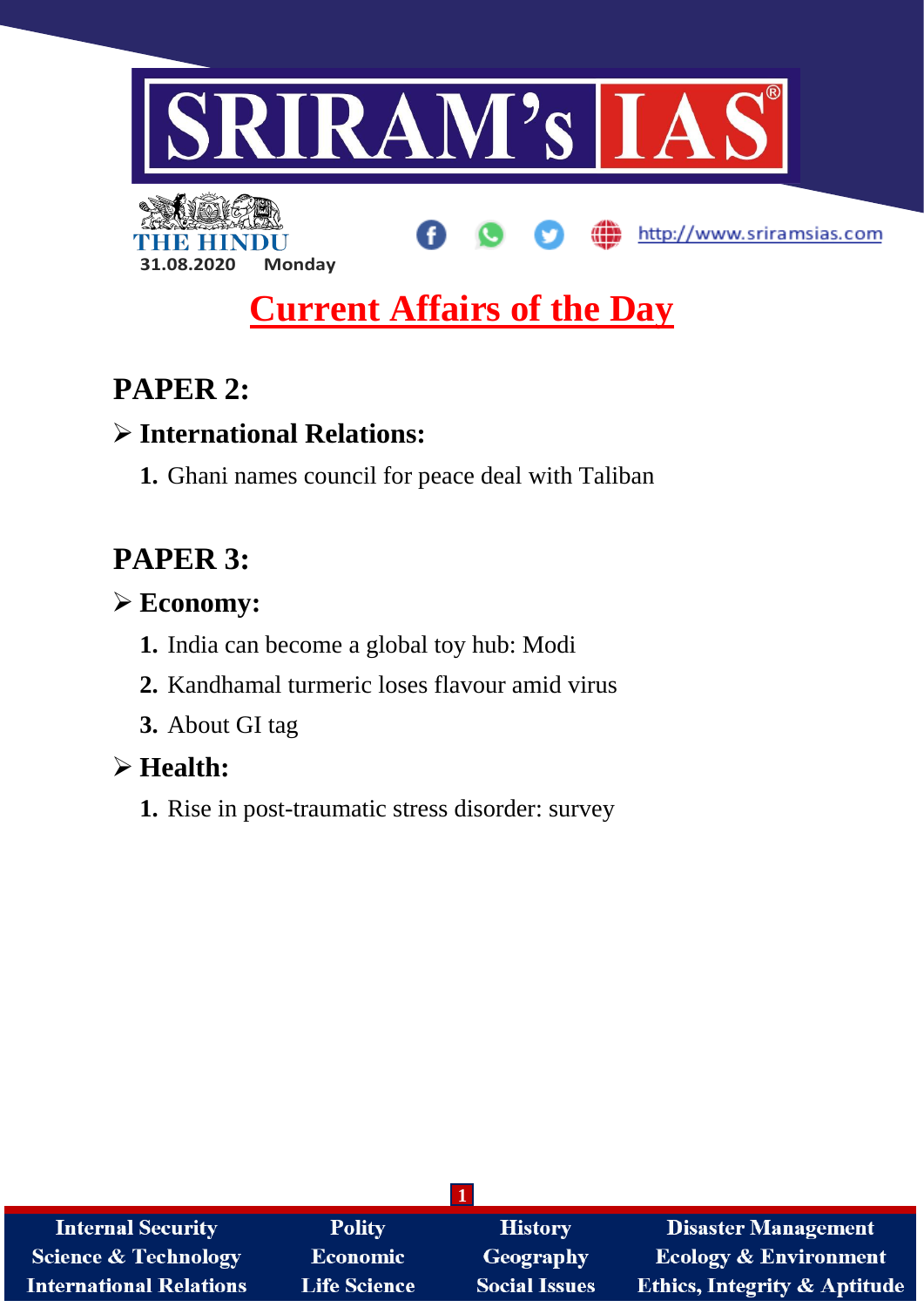

# **Current Affairs of the Day**

## **PAPER 2:**

## **International Relations:**

**1.** Ghani names council for peace deal with Taliban

## **PAPER 3:**

## **Economy:**

- **1.** India can become a global toy hub: Modi
- **2.** Kandhamal turmeric loses flavour amid virus
- **3.** About GI tag

## **Health:**

**1.** Rise in post-traumatic stress disorder: survey

| <b>Internal Security</b>       | <b>Polity</b>       | <b>History</b>       | <b>Disaster Management</b>              |
|--------------------------------|---------------------|----------------------|-----------------------------------------|
| Science & Technology           | <b>Economic</b>     | Geography            | <b>Ecology &amp; Environment</b>        |
| <b>International Relations</b> | <b>Life Science</b> | <b>Social Issues</b> | <b>Ethics, Integrity &amp; Aptitude</b> |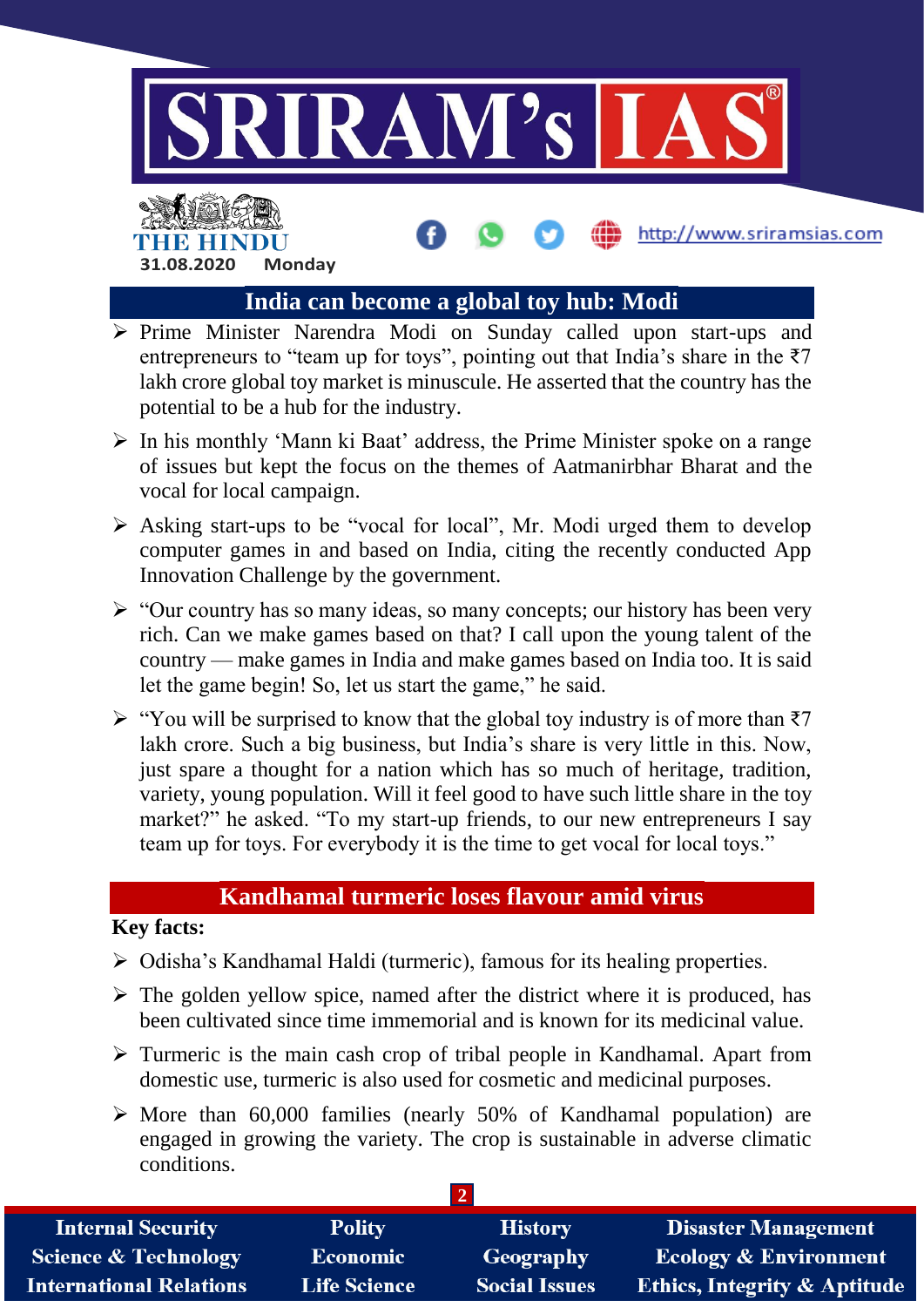

http://www.sriramsias.com

### **India can become a global toy hub: Modi**

- $\triangleright$  Prime Minister Narendra Modi on Sunday called upon start-ups and entrepreneurs to "team up for toys", pointing out that India's share in the  $\overline{z}$ 7 lakh crore global toy market is minuscule. He asserted that the country has the potential to be a hub for the industry.
- $\triangleright$  In his monthly 'Mann ki Baat' address, the Prime Minister spoke on a range of issues but kept the focus on the themes of Aatmanirbhar Bharat and the vocal for local campaign.
- $\triangleright$  Asking start-ups to be "vocal for local", Mr. Modi urged them to develop computer games in and based on India, citing the recently conducted App Innovation Challenge by the government.
- $\triangleright$  "Our country has so many ideas, so many concepts; our history has been very rich. Can we make games based on that? I call upon the young talent of the country — make games in India and make games based on India too. It is said let the game begin! So, let us start the game," he said.
- $\triangleright$  "You will be surprised to know that the global toy industry is of more than ₹7 lakh crore. Such a big business, but India's share is very little in this. Now, just spare a thought for a nation which has so much of heritage, tradition, variety, young population. Will it feel good to have such little share in the toy market?" he asked. "To my start-up friends, to our new entrepreneurs I say team up for toys. For everybody it is the time to get vocal for local toys."

#### **Kandhamal turmeric loses flavour amid virus**

#### **Key facts:**

**31.08.2020 Monday**

THE HINDI

- $\triangleright$  Odisha's Kandhamal Haldi (turmeric), famous for its healing properties.
- $\triangleright$  The golden yellow spice, named after the district where it is produced, has been cultivated since time immemorial and is known for its medicinal value.
- $\triangleright$  Turmeric is the main cash crop of tribal people in Kandhamal. Apart from domestic use, turmeric is also used for cosmetic and medicinal purposes.
- $\triangleright$  More than 60,000 families (nearly 50% of Kandhamal population) are engaged in growing the variety. The crop is sustainable in adverse climatic conditions.

| <b>Internal Security</b>        | <b>Polity</b>       | <b>History</b>       | <b>Disaster Management</b>              |
|---------------------------------|---------------------|----------------------|-----------------------------------------|
| <b>Science &amp; Technology</b> | <b>Economic</b>     | Geography            | <b>Ecology &amp; Environment</b>        |
| <b>International Relations</b>  | <b>Life Science</b> | <b>Social Issues</b> | <b>Ethics, Integrity &amp; Aptitude</b> |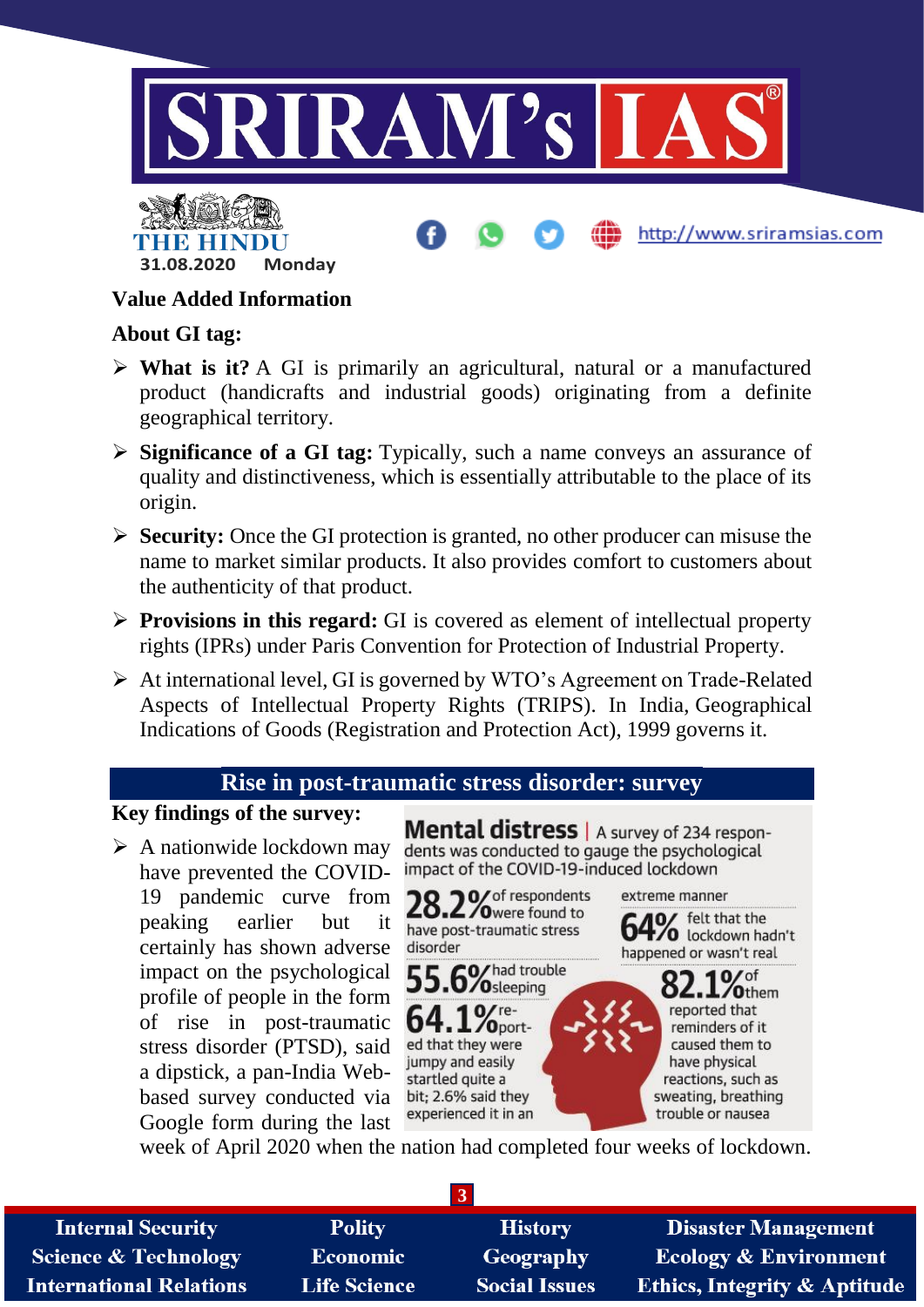



#### **Value Added Information**

#### **About GI tag:**

- **What is it?** A GI is primarily an agricultural, natural or a manufactured product (handicrafts and industrial goods) originating from a definite geographical territory.
- **Significance of a GI tag:** Typically, such a name conveys an assurance of quality and distinctiveness, which is essentially attributable to the place of its origin.
- **Security:** Once the GI protection is granted, no other producer can misuse the name to market similar products. It also provides comfort to customers about the authenticity of that product.
- **Provisions in this regard:** GI is covered as element of intellectual property rights (IPRs) under Paris Convention for Protection of Industrial Property.
- At international level, GI is governed by WTO's Agreement on Trade-Related Aspects of Intellectual Property Rights (TRIPS). In India, Geographical Indications of Goods (Registration and Protection Act), 1999 governs it.

#### **Rise in post-traumatic stress disorder: survey**

#### **Key findings of the survey:**

 $\triangleright$  A nationwide lockdown may have prevented the COVID-19 pandemic curve from peaking earlier but it certainly has shown adverse impact on the psychological profile of people in the form of rise in post-traumatic stress disorder (PTSD), said a dipstick, a pan-India Webbased survey conducted via Google form during the last

Mental distress | A survey of 234 respondents was conducted to gauge the psychological impact of the COVID-19-induced lockdown

http://www.sriramsias.com



week of April 2020 when the nation had completed four weeks of lockdown.

| <b>Internal Security</b>        | <b>Polity</b>       | <b>History</b>       | <b>Disaster Management</b>              |
|---------------------------------|---------------------|----------------------|-----------------------------------------|
| <b>Science &amp; Technology</b> | <b>Economic</b>     | <b>Geography</b>     | <b>Ecology &amp; Environment</b>        |
| <b>International Relations</b>  | <b>Life Science</b> | <b>Social Issues</b> | <b>Ethics, Integrity &amp; Aptitude</b> |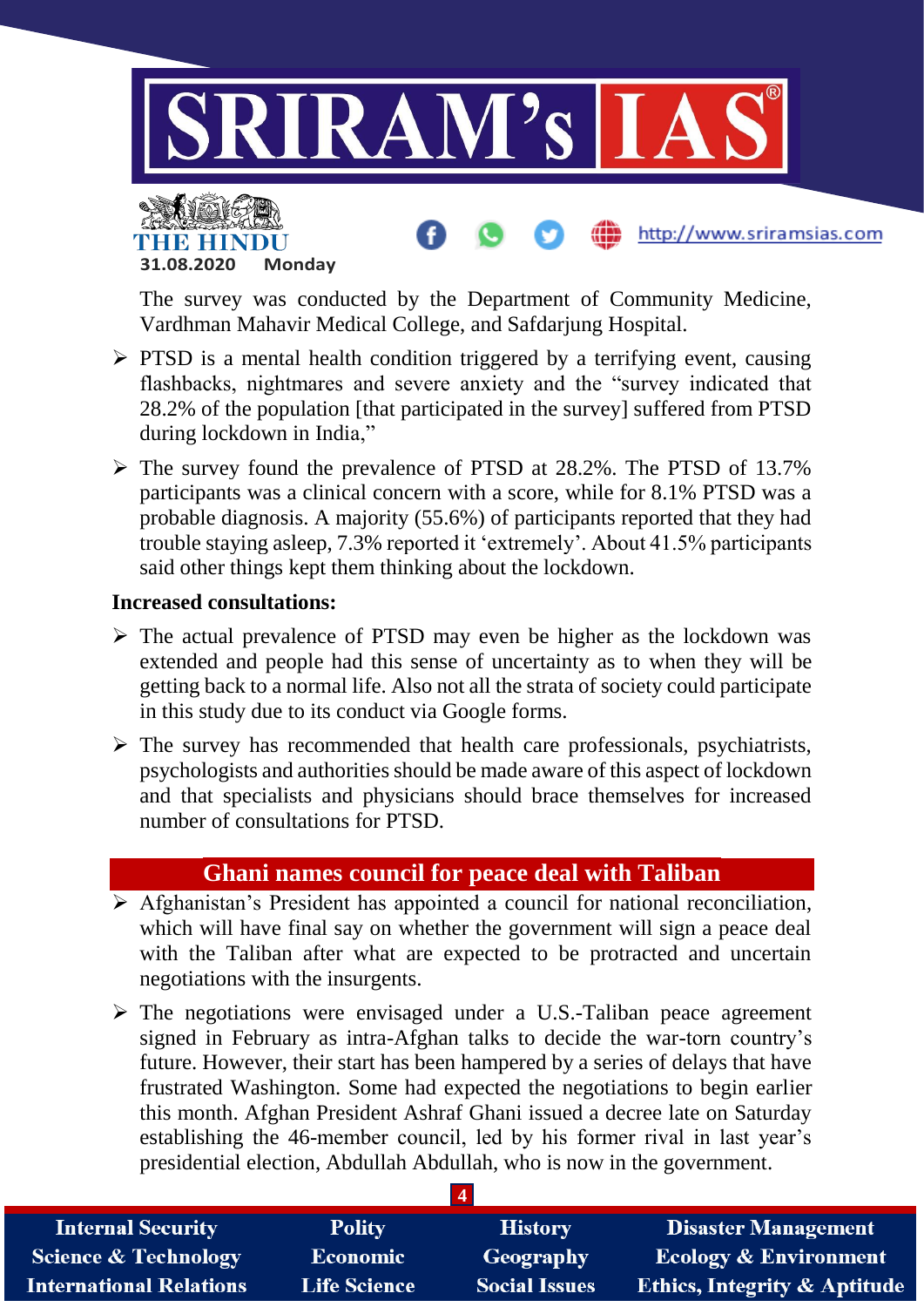

http://www.sriramsias.com

THR HIT **31.08.2020 Monday**

The survey was conducted by the Department of Community Medicine, Vardhman Mahavir Medical College, and Safdarjung Hospital.

- $\triangleright$  PTSD is a mental health condition triggered by a terrifying event, causing flashbacks, nightmares and severe anxiety and the "survey indicated that 28.2% of the population [that participated in the survey] suffered from PTSD during lockdown in India,"
- $\triangleright$  The survey found the prevalence of PTSD at 28.2%. The PTSD of 13.7% participants was a clinical concern with a score, while for 8.1% PTSD was a probable diagnosis. A majority (55.6%) of participants reported that they had trouble staying asleep, 7.3% reported it 'extremely'. About 41.5% participants said other things kept them thinking about the lockdown.

#### **Increased consultations:**

- $\triangleright$  The actual prevalence of PTSD may even be higher as the lockdown was extended and people had this sense of uncertainty as to when they will be getting back to a normal life. Also not all the strata of society could participate in this study due to its conduct via Google forms.
- $\triangleright$  The survey has recommended that health care professionals, psychiatrists, psychologists and authorities should be made aware of this aspect of lockdown and that specialists and physicians should brace themselves for increased number of consultations for PTSD.

#### **Ghani names council for peace deal with Taliban**

- $\triangleright$  Afghanistan's President has appointed a council for national reconciliation, which will have final say on whether the government will sign a peace deal with the Taliban after what are expected to be protracted and uncertain negotiations with the insurgents.
- $\triangleright$  The negotiations were envisaged under a U.S.-Taliban peace agreement signed in February as intra-Afghan talks to decide the war-torn country's future. However, their start has been hampered by a series of delays that have frustrated Washington. Some had expected the negotiations to begin earlier this month. Afghan President Ashraf Ghani issued a decree late on Saturday establishing the 46-member council, led by his former rival in last year's presidential election, Abdullah Abdullah, who is now in the government.

| <b>Internal Security</b>        | <b>Polity</b>   | <b>History</b>       | <b>Disaster Management</b>              |
|---------------------------------|-----------------|----------------------|-----------------------------------------|
| <b>Science &amp; Technology</b> | <b>Economic</b> | <b>Geography</b>     | <b>Ecology &amp; Environment</b>        |
| <b>International Relations</b>  | Life Science    | <b>Social Issues</b> | <b>Ethics, Integrity &amp; Aptitude</b> |